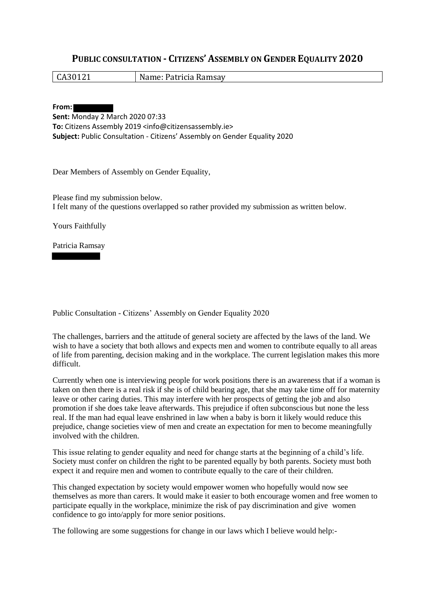## **PUBLIC CONSULTATION - CITIZENS' ASSEMBLY ON GENDER EQUALITY 2020**

CA30121 Name: Patricia Ramsay

**From:**

**Sent:** Monday 2 March 2020 07:33 **To:** Citizens Assembly 2019 <info@citizensassembly.ie> **Subject:** Public Consultation - Citizens' Assembly on Gender Equality 2020

Dear Members of Assembly on Gender Equality,

Please find my submission below. I felt many of the questions overlapped so rather provided my submission as written below.

Yours Faithfully

Patricia Ramsay

Public Consultation - Citizens' Assembly on Gender Equality 2020

The challenges, barriers and the attitude of general society are affected by the laws of the land. We wish to have a society that both allows and expects men and women to contribute equally to all areas of life from parenting, decision making and in the workplace. The current legislation makes this more difficult.

Currently when one is interviewing people for work positions there is an awareness that if a woman is taken on then there is a real risk if she is of child bearing age, that she may take time off for maternity leave or other caring duties. This may interfere with her prospects of getting the job and also promotion if she does take leave afterwards. This prejudice if often subconscious but none the less real. If the man had equal leave enshrined in law when a baby is born it likely would reduce this prejudice, change societies view of men and create an expectation for men to become meaningfully involved with the children.

This issue relating to gender equality and need for change starts at the beginning of a child's life. Society must confer on children the right to be parented equally by both parents. Society must both expect it and require men and women to contribute equally to the care of their children.

This changed expectation by society would empower women who hopefully would now see themselves as more than carers. It would make it easier to both encourage women and free women to participate equally in the workplace, minimize the risk of pay discrimination and give women confidence to go into/apply for more senior positions.

The following are some suggestions for change in our laws which I believe would help:-